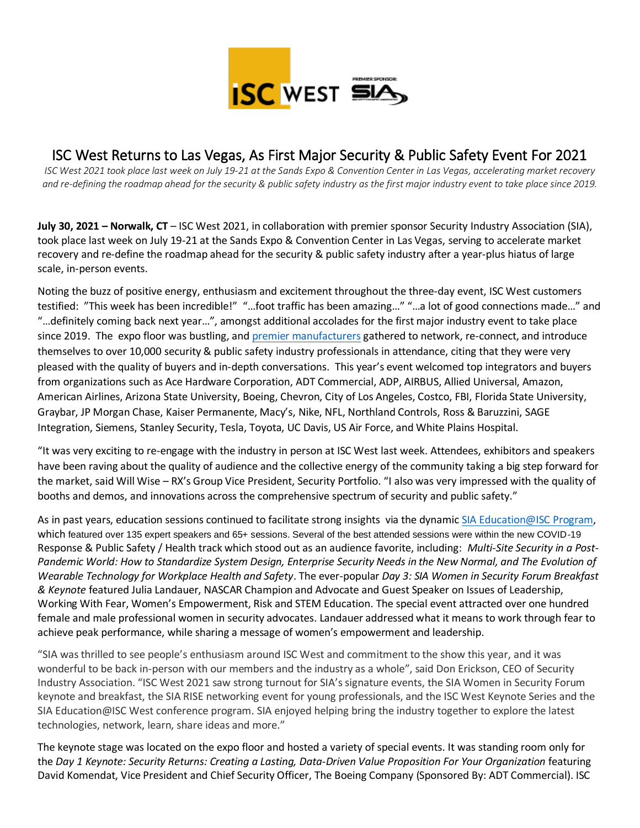

# ISC West Returns to Las Vegas, As First Major Security & Public Safety Event For 2021

*ISC West 2021 took place last week on July 19-21 at the Sands Expo & Convention Center in Las Vegas, accelerating market recovery and re-defining the roadmap ahead for the security & public safety industry as the first major industry event to take place since 2019.*

**July 30, 2021 – Norwalk, CT** – ISC West 2021, in collaboration with premier sponsor Security Industry Association (SIA), took place last week on July 19-21 at the Sands Expo & Convention Center in Las Vegas, serving to accelerate market recovery and re-define the roadmap ahead for the security & public safety industry after a year-plus hiatus of large scale, in-person events.

Noting the buzz of positive energy, enthusiasm and excitement throughout the three-day event, ISC West customers testified: "This week has been incredible!" "…foot traffic has been amazing…" "…a lot of good connections made…" and "…definitely coming back next year…", amongst additional accolades for the first major industry event to take place since 2019. The expo floor was bustling, and [premier manufacturers](https://www.iscwest.com/en-us/for-exhibitors/2021-exhibitor-list.html) gathered to network, re-connect, and introduce themselves to over 10,000 security & public safety industry professionals in attendance, citing that they were very pleased with the quality of buyers and in-depth conversations. This year's event welcomed top integrators and buyers from organizations such as Ace Hardware Corporation, ADT Commercial, ADP, AIRBUS, Allied Universal, Amazon, American Airlines, Arizona State University, Boeing, Chevron, City of Los Angeles, Costco, FBI, Florida State University, Graybar, JP Morgan Chase, Kaiser Permanente, Macy's, Nike, NFL, Northland Controls, Ross & Baruzzini, SAGE Integration, Siemens, Stanley Security, Tesla, Toyota, UC Davis, US Air Force, and White Plains Hospital.

"It was very exciting to re-engage with the industry in person at ISC West last week. Attendees, exhibitors and speakers have been raving about the quality of audience and the collective energy of the community taking a big step forward for the market, said Will Wise – RX's Group Vice President, Security Portfolio. "I also was very impressed with the quality of booths and demos, and innovations across the comprehensive spectrum of security and public safety."

As in past years, education sessions continued to facilitate strong insights via the dynami[c SIA Education@ISC Program,](https://www.iscwest.com/en-us/seminars.html) which featured over 135 expert speakers and 65+ sessions. Several of the best attended sessions were within the new COVID-19 Response & Public Safety / Health track which stood out as an audience favorite, including: *Multi-Site Security in a Post-Pandemic World: How to Standardize System Design, Enterprise Security Needs in the New Normal, and The Evolution of Wearable Technology for Workplace Health and Safety*. The ever-popular *Day 3: SIA Women in Security Forum Breakfast & Keynote* featured Julia Landauer, NASCAR Champion and Advocate and Guest Speaker on Issues of Leadership, Working With Fear, Women's Empowerment, Risk and STEM Education. The special event attracted over one hundred female and male professional women in security advocates. Landauer addressed what it means to work through fear to achieve peak performance, while sharing a message of women's empowerment and leadership.

"SIA was thrilled to see people's enthusiasm around ISC West and commitment to the show this year, and it was wonderful to be back in-person with our members and the industry as a whole", said Don Erickson, CEO of Security Industry Association. "ISC West 2021 saw strong turnout for SIA's signature events, the SIA Women in Security Forum keynote and breakfast, the SIA RISE networking event for young professionals, and the ISC West Keynote Series and the SIA Education@ISC West conference program. SIA enjoyed helping bring the industry together to explore the latest technologies, network, learn, share ideas and more."

The keynote stage was located on the expo floor and hosted a variety of special events. It was standing room only for the *Day 1 Keynote: Security Returns: Creating a Lasting, Data-Driven Value Proposition For Your Organization* featuring David Komendat, Vice President and Chief Security Officer, The Boeing Company (Sponsored By: ADT Commercial). ISC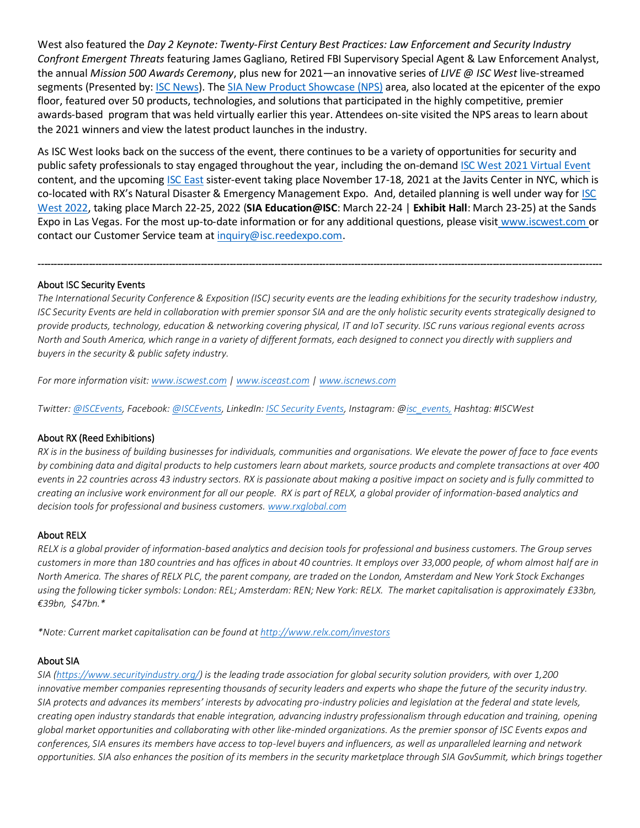West also featured the *Day 2 Keynote: Twenty-First Century Best Practices: Law Enforcement and Security Industry Confront Emergent Threats* featuring James Gagliano, Retired FBI Supervisory Special Agent & Law Enforcement Analyst, the annual *Mission 500 Awards Ceremony*, plus new for 2021—an innovative series of *LIVE @ ISC West* live-streamed segments (Presented by: [ISC News\)](https://www.iscnews.com/). Th[e SIA New Product Showcase](https://www.iscwest.com/en-us/seminars/sia-new-product-showcase.html) (NPS) area, also located at the epicenter of the expo floor, featured over 50 products, technologies, and solutions that participated in the highly competitive, premier awards-based program that was held virtually earlier this year. Attendees on-site visited the NPS areas to learn about the 2021 winners and view the latest product launches in the industry.

As ISC West looks back on the success of the event, there continues to be a variety of opportunities for security and public safety professionals to stay engaged throughout the year, including the on-deman[d ISC West 2021 Virtual Event](https://virtual.iscwest.com/) content, and the upcomin[g ISC East](https://www.isceast.com/en-us/for-attendees/pre-register.html) sister-event taking place November 17-18, 2021 at the Javits Center in NYC, which is co-located with RX's Natural Disaster & Emergency Management Expo. And, detailed planning is well under way for ISC [West 2022,](https://www.iscwest.com/en-us/pre-register.html) taking place March 22-25, 2022 (**SIA Education@ISC**: March 22-24 | **Exhibit Hall**: March 23-25) at the Sands Expo in Las Vegas. For the most up-to-date information or for any additional questions, please visit [www.iscwest.com](https://nam03.safelinks.protection.outlook.com/?url=http%3A%2F%2Fapp.campaign.reedexpo.com%2Fe%2Fer%3Fquerytoken%3D%26s%3D121188525%26lid%3D1574%26elqTrackId%3D0CE987AE2EE9E65F6B9719FA96C85B91%26elq%3Dccdbbbfc60c54e52b152d4e21c96a543%26elqaid%3D4095%26elqat%3D1&data=04%7C01%7Csdapaah%40reedexpo.com%7C1a342fd24bcc44f1873108d8871ac237%7C9274ee3f94254109a27f9fb15c10675d%7C0%7C0%7C637407896645867750%7CUnknown%7CTWFpbGZsb3d8eyJWIjoiMC4wLjAwMDAiLCJQIjoiV2luMzIiLCJBTiI6Ik1haWwiLCJXVCI6Mn0%3D%7C3000&sdata=F7ERMzxUFmeAlDVqaB%2BLAfSmWuq4UfGLcWMffqKpLwU%3D&reserved=0) or contact our Customer Service team a[t inquiry@isc.reedexpo.com.](mailto:inquiry@isc.reedexpo.com)

### About ISC Security Events

*The International Security Conference & Exposition (ISC) security events are the leading exhibitions for the security tradeshow industry, ISC Security Events are held in collaboration with premier sponsor SIA and are the only holistic security events strategically designed to provide products, technology, education & networking covering physical, IT and IoT security. ISC runs various regional events across North and South America, which range in a variety of different formats, each designed to connect you directly with suppliers and buyers in the security & public safety industry.* 

--------------------------------------------------------------------------------------------------------------------------------------------------------------------------------

*For more information visit: [www.iscwest.com](http://www.iscwest.com/) | [www.isceast.com](http://www.isceast.com/) [| www.iscnews.com](http://www.iscnews.com/)*

*Twitter: [@ISCEvents,](https://twitter.com/iscevents) Facebook: [@ISCEvents,](https://www.facebook.com/ISCEvents/) LinkedIn: [ISC Security Events,](https://www.linkedin.com/company/isc-security-events/) Instagram: [@isc\\_events,](https://www.instagram.com/isc_events/) Hashtag: #ISCWest*

### About RX (Reed Exhibitions)

*RX is in the business of building businesses for individuals, communities and organisations. We elevate the power of face to face events by combining data and digital products to help customers learn about markets, source products and complete transactions at over 400 events in 22 countries across 43 industry sectors. RX is passionate about making a positive impact on society and is fully committed to creating an inclusive work environment for all our people. RX is part of RELX, a global provider of information-based analytics and decision tools for professional and business customers. [www.rxglobal.com](http://www.rxglobal.com/)*

### About RELX

*RELX is a global provider of information-based analytics and decision tools for professional and business customers. The Group serves customers in more than 180 countries and has offices in about 40 countries. It employs over 33,000 people, of whom almost half are in North America. The shares of RELX PLC, the parent company, are traded on the London, Amsterdam and New York Stock Exchanges using the following ticker symbols: London: REL; Amsterdam: REN; New York: RELX. The market capitalisation is approximately £33bn, €39bn, \$47bn.\**

*\*Note: Current market capitalisation can be found a[t http://www.relx.com/investors](http://www.relx.com/investors)*

### About SIA

*SIA [\(https://www.securityindustry.org/\)](https://www.securityindustry.org/) is the leading trade association for global security solution providers, with over 1,200 innovative member companies representing thousands of security leaders and experts who shape the future of the security industry. SIA protects and advances its members' interests by advocating pro-industry policies and legislation at the federal and state levels, creating open industry standards that enable integration, advancing industry professionalism through education and training, opening global market opportunities and collaborating with other like-minded organizations. As the premier sponsor of ISC Events expos and conferences, SIA ensures its members have access to top-level buyers and influencers, as well as unparalleled learning and network opportunities. SIA also enhances the position of its members in the security marketplace through SIA GovSummit, which brings together*